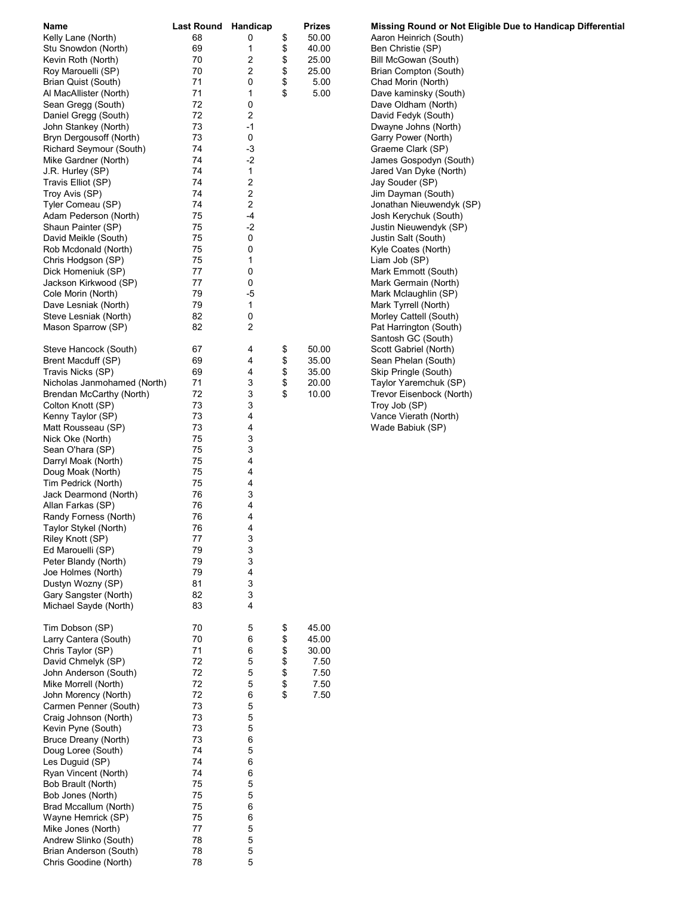| Name                        | Last Round Handicap |      | Prizes      | Missing Round or Not Eligible Due to Handicap Differential |
|-----------------------------|---------------------|------|-------------|------------------------------------------------------------|
| Kelly Lane (North)          | 68                  | 0    | \$<br>50.00 | Aaron Heinrich (South)                                     |
| Stu Snowdon (North)         | 69                  | 1    | \$<br>40.00 | Ben Christie (SP)                                          |
| Kevin Roth (North)          | 70                  | 2    | \$<br>25.00 | Bill McGowan (South)                                       |
| Roy Marouelli (SP)          | 70                  | 2    | \$<br>25.00 | Brian Compton (South)                                      |
| Brian Quist (South)         | 71                  | 0    | \$<br>5.00  | Chad Morin (North)                                         |
| Al MacAllister (North)      | 71                  | 1    | \$<br>5.00  | Dave kaminsky (South)                                      |
| Sean Gregg (South)          | 72                  | 0    |             | Dave Oldham (North)                                        |
| Daniel Gregg (South)        | 72                  | 2    |             | David Fedyk (South)                                        |
| John Stankey (North)        | 73                  | -1   |             | Dwayne Johns (North)                                       |
| Bryn Dergousoff (North)     | 73                  | 0    |             | Garry Power (North)                                        |
| Richard Seymour (South)     | 74                  | -3   |             | Graeme Clark (SP)                                          |
| Mike Gardner (North)        | 74                  | $-2$ |             | James Gospodyn (South)                                     |
| J.R. Hurley (SP)            | 74                  | 1    |             | Jared Van Dyke (North)                                     |
| Travis Elliot (SP)          | 74                  | 2    |             | Jay Souder (SP)                                            |
| Troy Avis (SP)              | 74                  | 2    |             | Jim Dayman (South)                                         |
| Tyler Comeau (SP)           | 74                  | 2    |             | Jonathan Nieuwendyk (SP)                                   |
| Adam Pederson (North)       | 75                  | $-4$ |             | Josh Kerychuk (South)                                      |
| Shaun Painter (SP)          | 75                  | $-2$ |             | Justin Nieuwendyk (SP)                                     |
| David Meikle (South)        | 75                  | 0    |             | Justin Salt (South)                                        |
| Rob Mcdonald (North)        | 75                  | 0    |             | Kyle Coates (North)                                        |
| Chris Hodgson (SP)          | 75                  | 1    |             | Liam Job (SP)                                              |
| Dick Homeniuk (SP)          | 77                  | 0    |             | Mark Emmott (South)                                        |
| Jackson Kirkwood (SP)       | 77                  | 0    |             | Mark Germain (North)                                       |
| Cole Morin (North)          | 79                  | -5   |             | Mark Mclaughlin (SP)                                       |
| Dave Lesniak (North)        | 79                  | 1    |             | Mark Tyrrell (North)                                       |
| Steve Lesniak (North)       | 82                  | 0    |             | Morley Cattell (South)                                     |
| Mason Sparrow (SP)          | 82                  | 2    |             | Pat Harrington (South)                                     |
|                             |                     |      |             | Santosh GC (South)                                         |
| Steve Hancock (South)       | 67                  | 4    | \$<br>50.00 | Scott Gabriel (North)                                      |
| Brent Macduff (SP)          | 69                  | 4    | \$<br>35.00 | Sean Phelan (South)                                        |
| Travis Nicks (SP)           | 69                  | 4    | \$<br>35.00 | Skip Pringle (South)                                       |
| Nicholas Janmohamed (North) | 71                  | 3    | \$<br>20.00 | Taylor Yaremchuk (SP)                                      |
| Brendan McCarthy (North)    | 72                  | 3    | \$<br>10.00 | Trevor Eisenbock (North)                                   |
| Colton Knott (SP)           | 73                  | 3    |             | Troy Job (SP)                                              |
| Kenny Taylor (SP)           | 73                  | 4    |             | Vance Vierath (North)                                      |
| Matt Rousseau (SP)          | 73                  | 4    |             | Wade Babiuk (SP)                                           |
| Nick Oke (North)            | 75                  | 3    |             |                                                            |
| Sean O'hara (SP)            | 75                  | 3    |             |                                                            |
| Darryl Moak (North)         | 75                  | 4    |             |                                                            |
| Doug Moak (North)           | 75                  | 4    |             |                                                            |
| Tim Pedrick (North)         | 75                  | 4    |             |                                                            |
| Jack Dearmond (North)       | 76                  | 3    |             |                                                            |
| Allan Farkas (SP)           | 76                  | 4    |             |                                                            |
| Randy Forness (North)       | 76                  | 4    |             |                                                            |
| Taylor Stykel (North)       | 76                  | 4    |             |                                                            |
| Riley Knott (SP)            | 77                  | 3    |             |                                                            |
| Ed Marouelli (SP)           | 79                  | 3    |             |                                                            |
| Peter Blandy (North)        | 79                  | 3    |             |                                                            |
| Joe Holmes (North)          | 79                  | 4    |             |                                                            |
| Dustyn Wozny (SP)           | 81                  | 3    |             |                                                            |
| Gary Sangster (North)       | 82                  | 3    |             |                                                            |
| Michael Sayde (North)       | 83                  | 4    |             |                                                            |
|                             |                     |      |             |                                                            |
| Tim Dobson (SP)             | 70                  | 5    | \$<br>45.00 |                                                            |
| Larry Cantera (South)       | 70                  | 6    | \$<br>45.00 |                                                            |
| Chris Taylor (SP)           | 71                  | 6    | \$<br>30.00 |                                                            |
| David Chmelyk (SP)          | 72                  | 5    | \$<br>7.50  |                                                            |
| John Anderson (South)       | 72                  | 5    | \$<br>7.50  |                                                            |
| Mike Morrell (North)        | 72                  | 5    | \$<br>7.50  |                                                            |
| John Morency (North)        | 72                  | 6    | \$<br>7.50  |                                                            |
| Carmen Penner (South)       | 73                  | 5    |             |                                                            |
| Craig Johnson (North)       | 73                  | 5    |             |                                                            |
| Kevin Pyne (South)          | 73                  | 5    |             |                                                            |
| Bruce Dreany (North)        | 73                  | 6    |             |                                                            |
| Doug Loree (South)          | 74                  | 5    |             |                                                            |
| Les Duguid (SP)             | 74                  | 6    |             |                                                            |
| Ryan Vincent (North)        | 74                  | 6    |             |                                                            |
| Bob Brault (North)          | 75                  | 5    |             |                                                            |
| Bob Jones (North)           | 75                  | 5    |             |                                                            |
| Brad Mccallum (North)       | 75                  | 6    |             |                                                            |
| Wayne Hemrick (SP)          | 75                  | 6    |             |                                                            |
| Mike Jones (North)          | 77                  | 5    |             |                                                            |
| Andrew Slinko (South)       | 78                  | 5    |             |                                                            |
| Brian Anderson (South)      | 78                  | 5    |             |                                                            |
| Chris Goodine (North)       | 78                  | 5    |             |                                                            |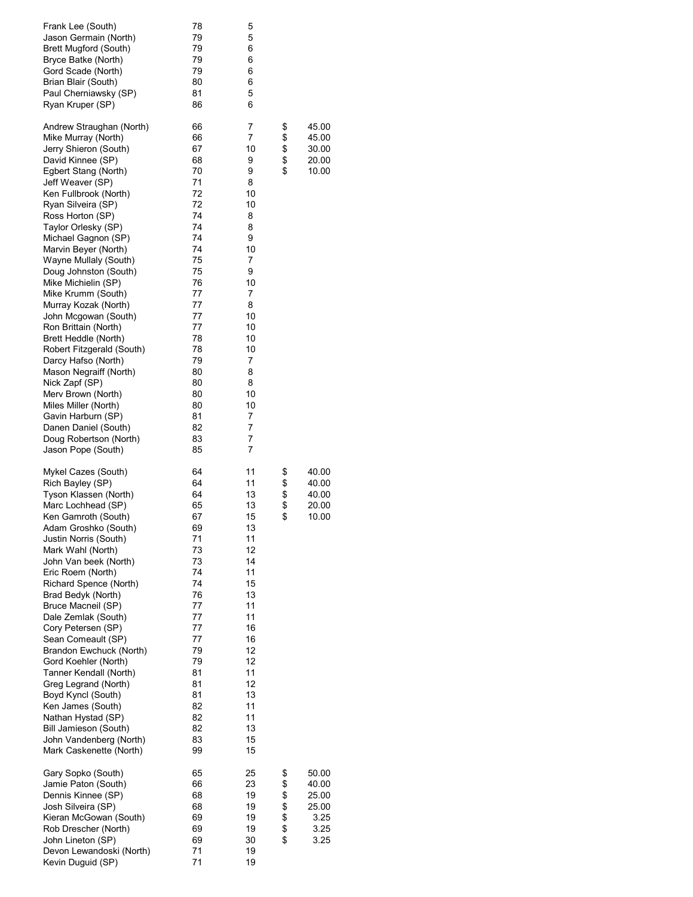| Frank Lee (South)<br>Jason Germain (North)<br>Brett Mugford (South)<br>Bryce Batke (North)<br>Gord Scade (North)<br>Brian Blair (South)<br>Paul Cherniawsky (SP)<br>Ryan Kruper (SP)                                                                                                                                                                                                                                                                                                                                                                                                                                                                                                                                          | 78<br>79<br>79<br>79<br>79<br>80<br>81<br>86                                                                                                                                     | 5<br>5<br>6<br>6<br>6<br>6<br>5<br>6                                                                                                                          |                            |                                                          |
|-------------------------------------------------------------------------------------------------------------------------------------------------------------------------------------------------------------------------------------------------------------------------------------------------------------------------------------------------------------------------------------------------------------------------------------------------------------------------------------------------------------------------------------------------------------------------------------------------------------------------------------------------------------------------------------------------------------------------------|----------------------------------------------------------------------------------------------------------------------------------------------------------------------------------|---------------------------------------------------------------------------------------------------------------------------------------------------------------|----------------------------|----------------------------------------------------------|
| Andrew Straughan (North)<br>Mike Murray (North)<br>Jerry Shieron (South)<br>David Kinnee (SP)<br>Egbert Stang (North)<br>Jeff Weaver (SP)<br>Ken Fullbrook (North)<br>Ryan Silveira (SP)<br>Ross Horton (SP)<br>Taylor Orlesky (SP)<br>Michael Gagnon (SP)<br>Marvin Beyer (North)<br>Wayne Mullaly (South)<br>Doug Johnston (South)<br>Mike Michielin (SP)<br>Mike Krumm (South)<br>Murray Kozak (North)<br>John Mcgowan (South)<br>Ron Brittain (North)<br>Brett Heddle (North)<br>Robert Fitzgerald (South)<br>Darcy Hafso (North)<br>Mason Negraiff (North)<br>Nick Zapf (SP)<br>Merv Brown (North)<br>Miles Miller (North)<br>Gavin Harburn (SP)<br>Danen Daniel (South)<br>Doug Robertson (North)<br>Jason Pope (South) | 66<br>66<br>67<br>68<br>70<br>71<br>72<br>72<br>74<br>74<br>74<br>74<br>75<br>75<br>76<br>77<br>77<br>77<br>77<br>78<br>78<br>79<br>80<br>80<br>80<br>80<br>81<br>82<br>83<br>85 | 7<br>7<br>10<br>9<br>9<br>8<br>10<br>10<br>8<br>8<br>9<br>10<br>7<br>9<br>10<br>7<br>8<br>10<br>10<br>10<br>10<br>7<br>8<br>8<br>10<br>10<br>7<br>7<br>7<br>7 | \$<br>\$\$<br>\$           | 45.00<br>45.00<br>30.00<br>20.00<br>10.00                |
| Mykel Cazes (South)<br>Rich Bayley (SP)<br>Tyson Klassen (North)<br>Marc Lochhead (SP)<br>Ken Gamroth (South)<br>Adam Groshko (South)<br>Justin Norris (South)<br>Mark Wahl (North)<br>John Van beek (North)<br>Eric Roem (North)<br>Richard Spence (North)<br>Brad Bedyk (North)<br>Bruce Macneil (SP)<br>Dale Zemlak (South)<br>Cory Petersen (SP)<br>Sean Comeault (SP)<br>Brandon Ewchuck (North)<br>Gord Koehler (North)<br>Tanner Kendall (North)<br>Greg Legrand (North)<br>Boyd Kyncl (South)<br>Ken James (South)<br>Nathan Hystad (SP)<br>Bill Jamieson (South)<br>John Vandenberg (North)<br>Mark Caskenette (North)                                                                                               | 64<br>64<br>64<br>65<br>67<br>69<br>71<br>73<br>73<br>74<br>74<br>76<br>77<br>77<br>77<br>77<br>79<br>79<br>81<br>81<br>81<br>82<br>82<br>82<br>83<br>99                         | 11<br>11<br>13<br>13<br>15<br>13<br>11<br>12<br>14<br>11<br>15<br>13<br>11<br>11<br>16<br>16<br>12<br>12<br>11<br>12<br>13<br>11<br>11<br>13<br>15<br>15      | \$<br>\$<br>\$<br>\$       | 40.00<br>40.00<br>40.00<br>20.00<br>10.00                |
| Gary Sopko (South)<br>Jamie Paton (South)<br>Dennis Kinnee (SP)<br>Josh Silveira (SP)<br>Kieran McGowan (South)<br>Rob Drescher (North)<br>John Lineton (SP)<br>Devon Lewandoski (North)<br>Kevin Duguid (SP)                                                                                                                                                                                                                                                                                                                                                                                                                                                                                                                 | 65<br>66<br>68<br>68<br>69<br>69<br>69<br>71<br>71                                                                                                                               | 25<br>23<br>19<br>19<br>19<br>19<br>30<br>19<br>19                                                                                                            | \$<br>\$<br>\$<br>\$<br>\$ | 50.00<br>40.00<br>25.00<br>25.00<br>3.25<br>3.25<br>3.25 |